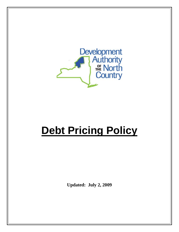

# **Debt Pricing Policy**

**Updated: July 2, 2009**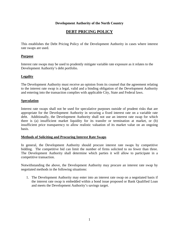# **Development Authority of the North Country**

# **DEBT PRICING POLICY**

This establishes the Debt Pricing Policy of the Development Authority in cases where interest rate swaps are used.

# **Purpose**

Interest rate swaps may be used to prudently mitigate variable rate exposure as it relates to the Development Authority's debt portfolio.

# **Legality**

The Development Authority must receive an opinion from its counsel that the agreement relating to the interest rate swap is a legal, valid and a binding obligation of the Development Authority and entering into the transaction complies with applicable City, State and Federal laws.

### **Speculation**

Interest rate swaps shall not be used for speculative purposes outside of prudent risks that are appropriate for the Development Authority in securing a fixed interest rate on a variable rate debt. Additionally, the Development Authority shall not use an interest rate swap for which there is (a) insufficient market liquidity for its transfer or termination at market, or (b) insufficient price transparency to allow realistic valuation of its market value on an ongoing basis.

# **Methods of Soliciting and Procuring Interest Rate Swaps**

In general, the Development Authority should procure interest rate swaps by competitive bidding. The competitive bid can limit the number of firms solicited to no fewer than three. The Development Authority shall determine which parties it will allow to participate in a competitive transaction.

Notwithstanding the above, the Development Authority may procure an interest rate swap by negotiated methods in the following situations:

1. The Development Authority may enter into an interest rate swap on a negotiated basis if the interest rate swap is embedded within a bond issue proposed or Bank Qualified Loan and meets the Development Authority's savings target.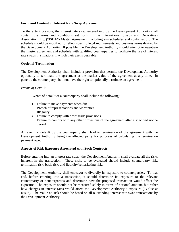### **Form and Content of Interest Rate Swap Agreement**

To the extent possible, the interest rate swap entered into by the Development Authority shall contain the terms and conditions set forth in the International Swaps and Derivatives Association, Inc. ("ISDA") Master Agreement, including any schedules and confirmation. The schedule should be modified to reflect specific legal requirements and business terms desired by the Development Authority. If possible, the Development Authority should attempt to negotiate the master agreement and schedule with qualified counterparties to facilitate the use of interest rate swaps in situations in which their use is desirable.

### **Optional Termination**

The Development Authority shall include a provision that permits the Development Authority optionally to terminate the agreement at the market value of the agreement at any time. In general, the counterparty shall not have the right to optionally terminate an agreement.

#### *Events of Default*

Events of default of a counterparty shall include the following:

- 1. Failure to make payments when due
- 2. Breach of representations and warranties
- 3. Illegality
- 4. Failure to comply with downgrade provisions
- 5. Failure to comply with any other provisions of the agreement after a specified notice period

An event of default by the counterparty shall lead to termination of the agreement with the Development Authority being the affected party for purposes of calculating the termination payment owed.

#### **Aspects of Risk Exposure Associated with Such Contracts**

Before entering into an interest rate swap, the Development Authority shall evaluate all the risks inherent in the transaction. These risks to be evaluated should include counterparty risk, termination risk, basis risk, and liquidity/remarketing risk.

The Development Authority shall endeavor to diversify its exposure to counterparties. To that end, before entering into a transaction, it should determine its exposure to the relevant counterparty or counterparties and determine how the proposed transaction would affect the exposure. The exposure should not be measured solely in terms of notional amount, but rather how changes in interest rates would affect the Development Authority's exposure ("Value at Risk"). The Value at Risk should be based on all outstanding interest rate swap transactions by the Development Authority.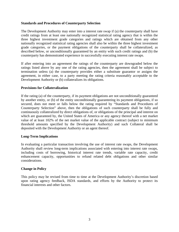### **Standards and Procedures of Counterparty Selection**

The Development Authority may enter into a interest rate swap if (a) the counterparty shall have credit ratings from at least one nationally recognized statistical rating agency that is within the three highest investment grade categories and ratings which are obtained from any other nationally recognized statistical rating agencies shall also be within the three highest investment grade categories, or the payment obligations of the counterparty shall be collateralized, as described below, or unconditionally guaranteed by an entity with such credit ratings and (b) the counterparty has demonstrated experience in successfully executing interest rate swaps.

If after entering into an agreement the ratings of the counterparty are downgraded below the ratings listed above by any one of the rating agencies, then the agreement shall be subject to termination unless (a) the counterparty provides either a substitute guarantor or assigns the agreement, in either case, to a party meeting the rating criteria reasonably acceptable to the Development Authority or (b) collateralizes its obligations.

#### **Provisions for Collateralization**

If the rating (a) of the counterparty, if its payment obligations are not unconditionally guaranteed by another entity, or (b) of the entity unconditionally guaranteeing its payment obligations, if so secured, does not meet or falls below the rating required by "Standards and Procedures of Counterparty Selection" above, then the obligations of such counterparty shall be fully and continuously collateralized by direct obligations of, or obligations of the principal and interest on which are guaranteed by, the United States of America or any agency thereof with a net market value of at least 102% of the net market value of the applicable contract (subject to minimum threshold amounts specified by the Development Authority) and such Collateral shall be deposited with the Development Authority or an agent thereof.

# **Long-Term Implications**

In evaluating a particular transaction involving the use of interest rate swaps, the Development Authority shall review long-term implications associated with entering into interest rate swaps, including costs of borrowing, historical interest rate trends, variable rate capacity, credit enhancement capacity, opportunities to refund related debt obligations and other similar considerations.

#### **Change in Policy**

This policy may be revised from time to time at the Development Authority's discretion based upon rating agency feedback, ISDA standards, and efforts by the Authority to protect its financial interests and other factors.